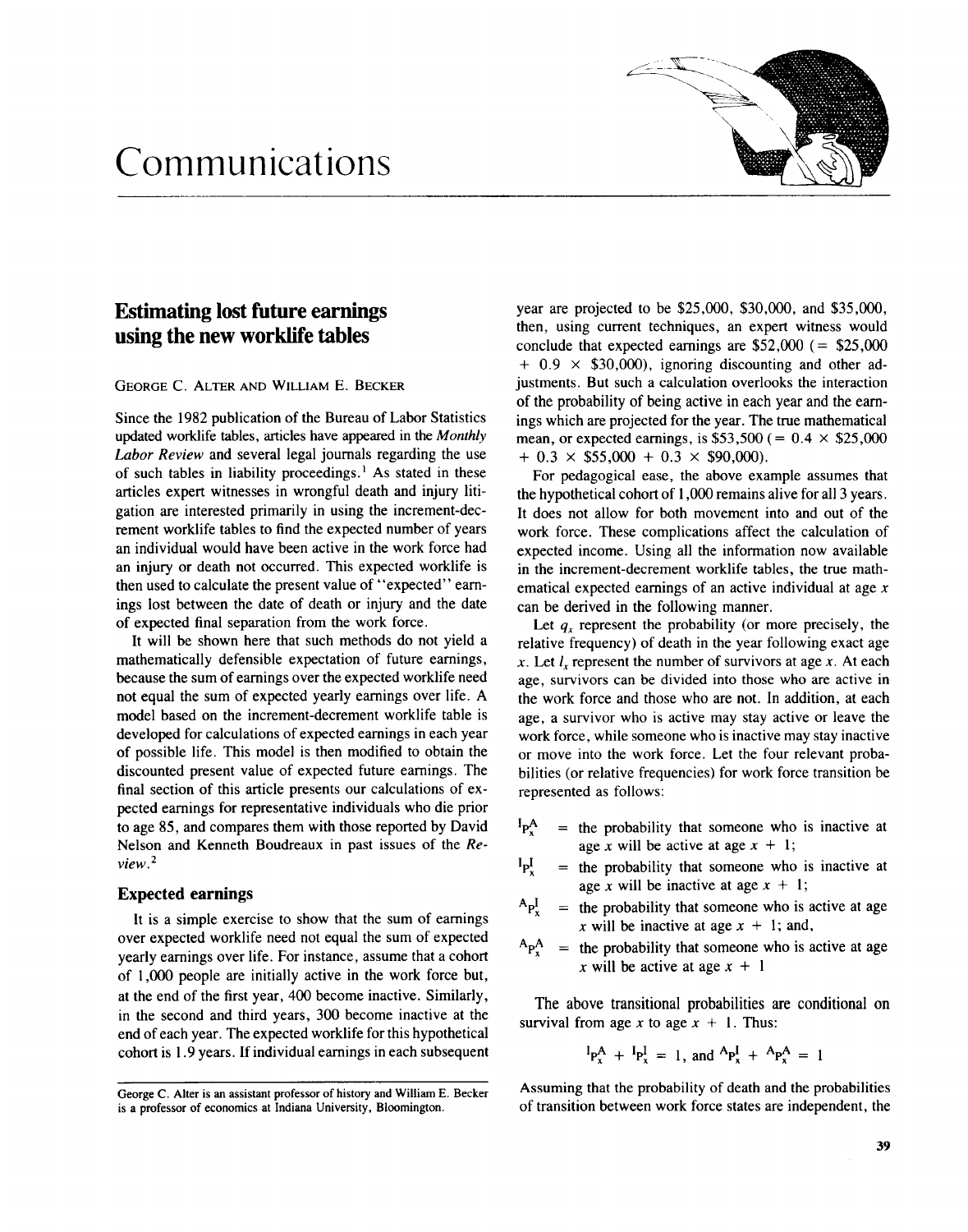# Communications



## Estimating lost future earnings using the new worklife tables

GEORGE C. ALTER AND WILLIAM E. BECKER

Since the 1982 publication of the Bureau of Labor Statistics updated worklife tables, articles have appeared in the Monthly Labor Review and several legal journals regarding the use of such tables in liability proceedings.' As stated in these articles expert witnesses in wrongful death and injury litigation are interested primarily in using the increment-decrement worklife tables to find the expected number of years an individual would have been active in the work force had an injury or death not occurred. This expected worklife is then used to calculate the present value of "expected" earnings lost between the date of death or injury and the date of expected final separation from the work force .

It will be shown here that such methods do not yield a mathematically defensible expectation of future earnings, because the sum of earnings over the expected worklife need not equal the sum of expected yearly earnings over life . A model based on the increment-decrement worklife table is developed for calculations of expected earnings in each year of possible life. This model is then modified to obtain the discounted present value of expected future earnings. The final section of this article presents our calculations of expected earnings for representative individuals who die prior to age 85, and compares them with those reported by David Nelson and Kenneth Boudreaux in past issues of the Re $view<sup>2</sup>$ 

### Expected earnings

It is a simple exercise to show that the sum of earnings over expected worklife need not equal the sum of expected yearly earnings over life . For instance, assume that a cohort of 1,000 people are initially active in the work force but, at the end of the first year, 400 become inactive. Similarly, in the second and third years, 300 become inactive at the end of each year. The expected worklife for this hypothetical cohort is 1 .9 years. If individual earnings in each subsequent year are projected to be \$25,000, \$30,000, and \$35,000, then, using current techniques, an expert witness would conclude that expected earnings are  $$52,000 (= $25,000$  $+ 0.9 \times$  \$30,000), ignoring discounting and other adjustments. But such a calculation overlooks the interaction of the probability of being active in each year and the earnings which are projected for the year . The true mathematical mean, or expected earnings, is \$53,500 (=  $0.4 \times$  \$25,000  $+ 0.3 \times $55,000 + 0.3 \times $90,000$ .

For pedagogical ease, the above example assumes that the hypothetical cohort of 1,000 remains alive for all 3 years . It does not allow for both movement into and out of the work force. These complications affect the calculation of expected income. Using all the information now available in the increment-decrement worklife tables, the true mathematical expected earnings of an active individual at age x can be derived in the following manner.

Let  $q_x$  represent the probability (or more precisely, the relative frequency) of death in the year following exact age x. Let  $l_x$  represent the number of survivors at age x. At each age, survivors can be divided into those who are active in the work force and those who are not. In addition, at each age, a survivor who is active may stay active or leave the work force, while someone who is inactive may stay inactive or move into the work force. Let the four relevant probabilities (or relative frequencies) for work force transition be represented as follows :

- $P_{x}^{A}$  $=$  the probability that someone who is inactive at age x will be active at age  $x + 1$ ;
- $P_x^1$  $=$  the probability that someone who is inactive at age x will be inactive at age  $x + 1$ ;
- the probability that someone who is active at age  $A_{P_X}^{\perp}$  $=$ x will be inactive at age  $x + 1$ ; and,
- $A_{P_X^A}$ the probability that someone who is active at age  $=$ x will be active at age  $x + 1$

The above transitional probabilities are conditional on survival from age x to age  $x + 1$ . Thus:

$$
{}^{I}P_{x}^{A} + {}^{I}P_{x}^{I} = 1, \text{ and } {}^{A}P_{x}^{I} + {}^{A}P_{x}^{A} = 1
$$

Assuming that the probability of death and the probabilities of transition between work force states are independent, the

George C. Alter is an assistant professor of history and William E. Becker is a professor of economics at Indiana University, Bloomington.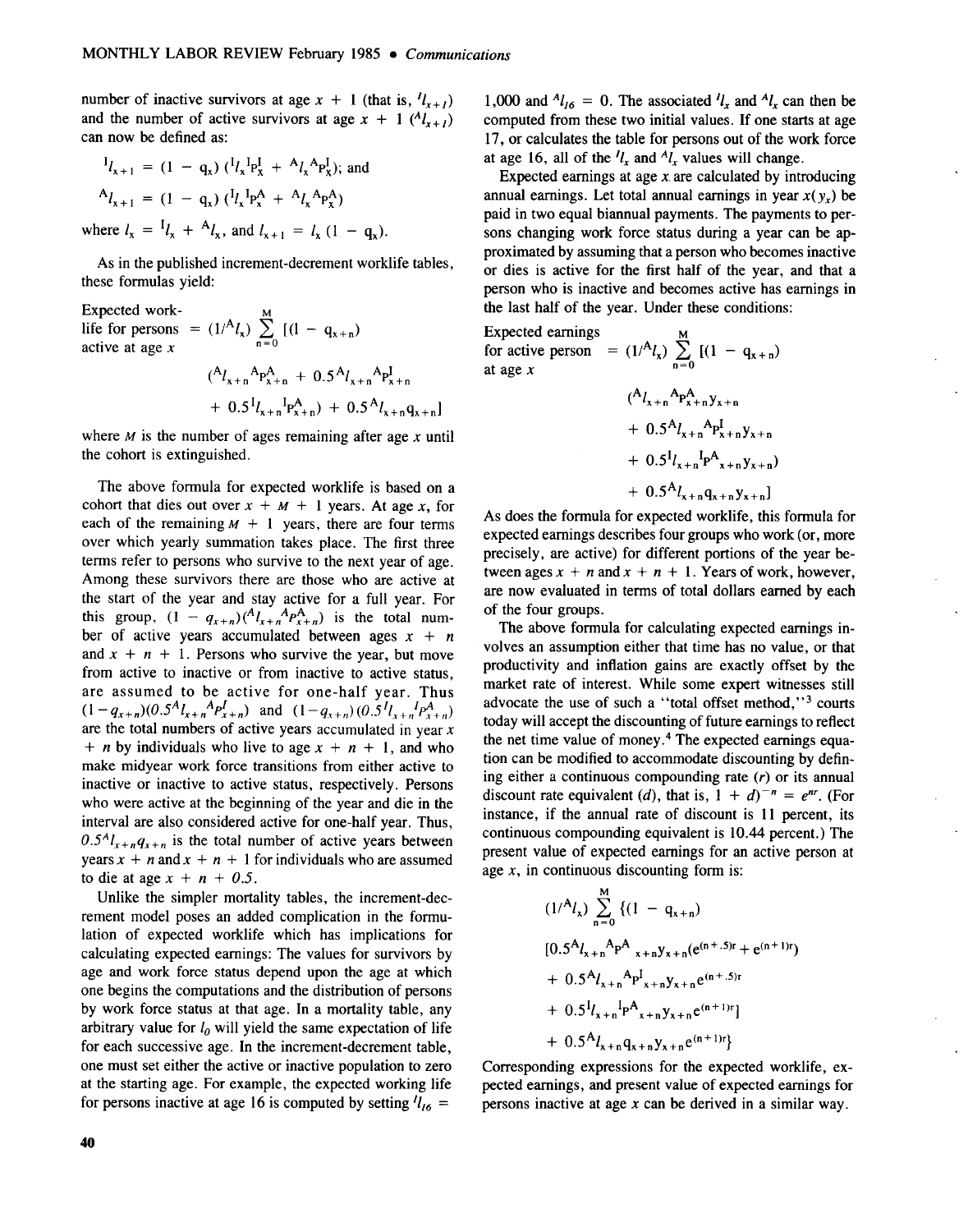number of inactive survivors at age  $x + 1$  (that is,  $l_{x+1}$ ) and the number of active survivors at age  $x + 1$  ( $^{A}l_{x+l}$ ) can now be defined as:

$$
{}^{I}l_{x+1} = (1 - q_x) ({}^{I}l_{x} {}^{I}p_{x}^{I} + {}^{A}l_{x} {}^{A}p_{x}^{I});
$$
 and  

$$
{}^{A}l_{x+1} = (1 - q_x) ({}^{I}l_{x} {}^{I}p_{x}^{A} + {}^{A}l_{x} {}^{A}p_{x}^{A})
$$
  
where  $l_{x} = {}^{I}l_{x} + {}^{A}l_{x}$ , and  $l_{x+1} = l_{x} (1 - q_{x}).$ 

As in the published increment-decrement worklife tables, these formulas yield:

Expected work-

life for persons active at age  $x$  $\overline{M}$ =  $(1)^{A}l_{x}$ )  $\sum_{n=0}$   $[(1 - q_{x+n})]$  $(^{A}l_{x+n}^{\text{A}}P_{x+n}^{A} + 0.5^{A}l_{x+n}^{\text{A}}P_{x+n}^{I}$  $+ 0.5^{I}l_{x+n}^{I}P_{x+n}^{A}$  +  $0.5^{A}l_{x+n}q_{x+n}$ 

where  $M$  is the number of ages remaining after age  $x$  until the cohort is extinguished.

The above formula for expected worklife is based on a cohort that dies out over  $x + M + 1$  years. At age x, for each of the remaining  $M + 1$  years, there are four terms over which yearly summation takes place. The first three terms refer to persons who survive to the next year of age. Among these survivors there are those who are active at the start of the year and stay active for a full year. For this group,  $(1 - q_{x+n})(A_{k+n}A_{p_{x+n}})$  is the total number of active years accumulated between ages  $x + n$ and  $x + n + 1$ . Persons who survive the year, but move from active to inactive or from inactive to active status, are assumed to be active for one-half year. Thus  $(1-q_{x+n})(0.5^{11}l_{x+n}P_{x+n})$  and  $(1-q_{x+n})(0.5^{11}l_{x+n}P_{x+n})$ are the total numbers of active years accumulated in year  $x$ + *n* by individuals who live to age  $x + n + 1$ , and who make midyear work force transitions from either active to inactive or inactive to active status, respectively. Persons who were active at the beginning of the year and die in the interval are also considered active for one-half year. Thus,  $0.5<sup>A</sup>l<sub>x+n</sub>q<sub>x+n</sub>$  is the total number of active years between years  $x + n$  and  $x + n + 1$  for individuals who are assumed to die at age  $x + n + 0.5$ .

Unlike the simpler mortality tables, the increment-decrement model poses an added complication in the formulation of expected worklife which has implications for calculating expected earnings: The values for survivors by age and work force status depend upon the age at which one begins the computations and the distribution of persons by work force status at that age. In a mortality table, any arbitrary value for  $l_0$  will yield the same expectation of life for each successive age. In the increment-decrement table, one must set either the active or inactive population to zero at the starting age . For example, the expected working life for persons inactive at age 16 is computed by setting  $l_{16}$  =

1,000 and  $^{A}l_{16} = 0$ . The associated  $^{l}l_{x}$  and  $^{A}l_{x}$  can then be computed from these two initial values. If one starts at age 17, or calculates the table for persons out of the work force at age 16, all of the  $l_x$  and  $l_x$  values will change.

Expected earnings at age  $x$  are calculated by introducing annual earnings. Let total annual earnings in year  $x(y<sub>x</sub>)$  be paid in two equal biannual payments . The payments to persons changing work force status during a year can be approximated by assuming that a person who becomes inactive or dies is active for the first half of the year, and that a person who is inactive and becomes active has earnings in the last half of the year. Under these conditions:

Expected earnings for active person for active person =  $(1)^{A}l_{x}$ )  $\sum_{n=0}$  [(1 - q<sub>x+n</sub>) at age x

$$
(A_{\chi+n}A_{P_{\chi+n}^{A}}y_{\chi+n} + 0.5A_{\chi+n}A_{P_{\chi+n}^{B}}y_{\chi+n} + 0.5^{I}I_{\chi+n}I_{P_{\chi+n}^{B}}y_{\chi+n}) + 0.5^{A}I_{\chi+n}q_{\chi+n}y_{\chi+n}
$$

As does the formula for expected worklife, this formula for expected earnings describes four groups who work (or, more precisely, are active) for different portions of the year between ages  $x + n$  and  $x + n + 1$ . Years of work, however, are now evaluated in terms of total dollars earned by each of the four groups .

The above formula for calculating expected earnings involves an assumption either that time has no value, or that productivity and inflation gains are exactly offset by the market rate of interest. While some expert witnesses still advocate the use of such a "total offset method,"<sup>3</sup> courts today will accept the discounting of future earnings to reflect the net time value of money.<sup>4</sup> The expected earnings equation can be modified to accommodate discounting by defining either a continuous compounding rate  $(r)$  or its annual discount rate equivalent (d), that is,  $1 + d^{-n} = e^{nr}$ . (For instance, if the annual rate of discount is 11 percent, its continuous compounding equivalent is 10.44 percent.) The present value of expected earnings for an active person at age  $x$ , in continuous discounting form is:

$$
(1)^{A}l_{x}) \sum_{n=0}^{M} \{ (1 - q_{x+n})
$$
  
\n
$$
[0.5^{A}l_{x+n}^{A}P_{x+n}^{A}y_{x+n}(e^{(n+.5)r} + e^{(n+1)r})
$$
  
\n
$$
+ 0.5^{A}l_{x+n}^{A}P_{x+n}^{I}y_{x+n}e^{(n+.5)r}
$$
  
\n
$$
+ 0.5^{I}l_{x+n}^{I}P_{x+n}^{A}y_{x+n}e^{(n+1)r}]
$$
  
\n
$$
+ 0.5^{A}l_{x+n}q_{x+n}y_{x+n}e^{(n+1)r}
$$

Corresponding expressions for the expected worklife, expected earnings, and present value of expected earnings for persons inactive at age  $x$  can be derived in a similar way.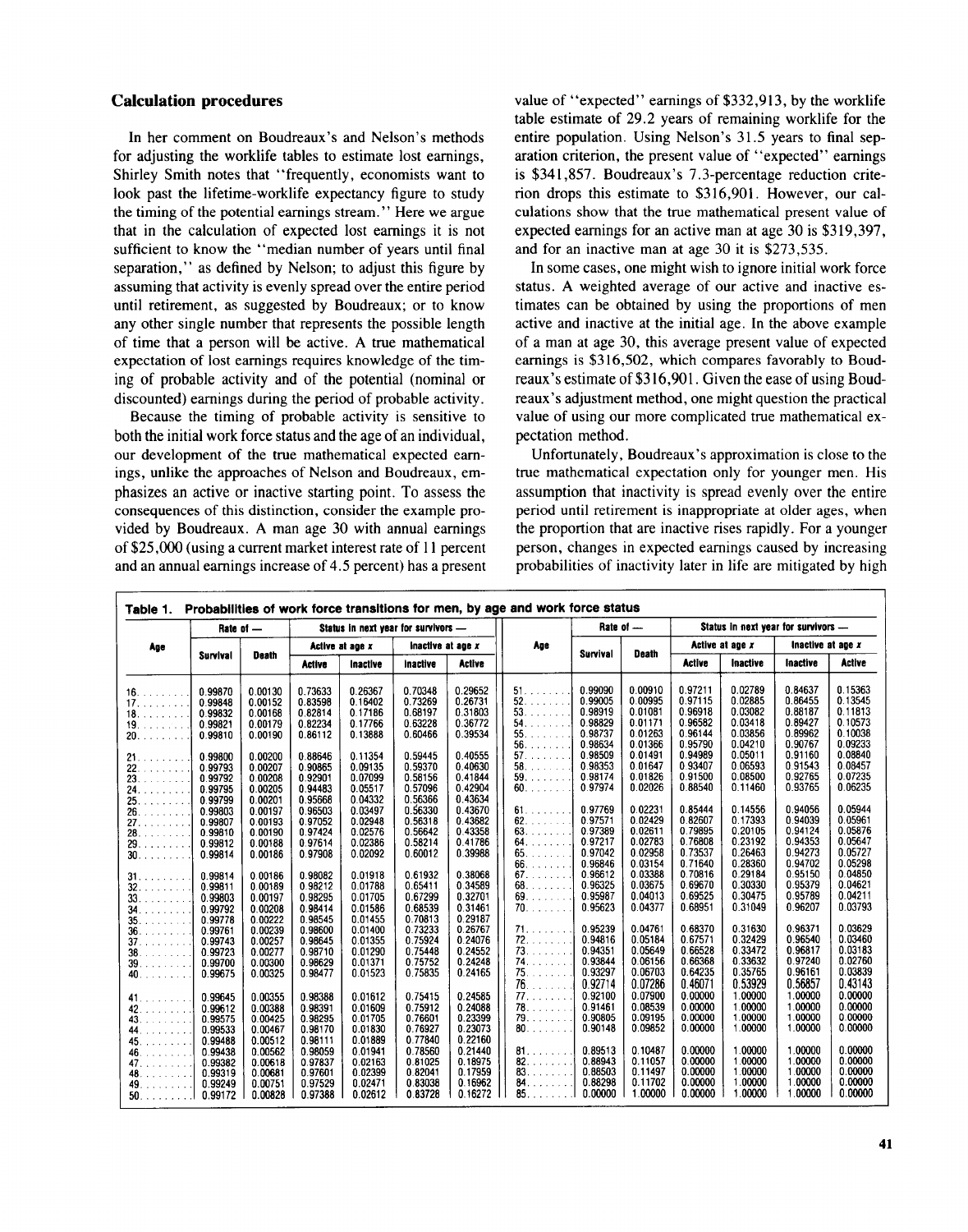#### Calculation procedures

In her comment on Boudreaux's and Nelson's methods for adjusting the worklife tables to estimate lost earnings, Shirley Smith notes that "frequently, economists want to look past the lifetime-worklife expectancy figure to study the timing of the potential earnings stream ." Here we argue that in the calculation of expected lost earnings it is not sufficient to know the "median number of years until final separation," as defined by Nelson; to adjust this figure by assuming that activity is evenly spread over the entire period until retirement, as suggested by Boudreaux; or to know any other single number that represents the possible length of time that a person will be active . A true mathematical expectation of lost earnings requires knowledge of the timing of probable activity and of the potential (nominal or discounted) earnings during the period of probable activity .

Because the timing of probable activity is sensitive to both the initial work force status and the age of an individual, our development of the true mathematical expected earnings, unlike the approaches of Nelson and Boudreaux, emphasizes an active or inactive starting point. To assess the consequences of this distinction, consider the example provided by Boudreaux . A man age 30 with annual earnings of \$25,000 (using a current market interest rate of 11 percent and an annual earnings increase of 4.5 percent) has a present value of "expected" earnings of \$332,913, by the worklife table estimate of 29.2 years of remaining worklife for the entire population. Using Nelson's 31.5 years to final separation criterion, the present value of "expected" earnings is \$341,857 . Boudreaux's 7.3-percentage reduction criterion drops this estimate to \$316,901 . However, our calculations show that the true mathematical present value of expected earnings for an active man at age 30 is \$319,397, and for an inactive man at age 30 it is \$273,535 .

In some cases, one might wish to ignore initial work force status. A weighted average of our active and inactive estimates can be obtained by using the proportions of men active and inactive at the initial age. In the above example of a man at age 30, this average present value of expected earnings is \$316,502, which compares favorably to Boudreaux's estimate of \$316,901 . Given the ease of using Boudreaux's adjustment method, one might question the practical value of using our more complicated true mathematical expectation method.

Unfortunately, Boudreaux's approximation is close to the true mathematical expectation only for younger men. His assumption that inactivity is spread evenly over the entire period until retirement is inappropriate at older ages, when the proportion that are inactive rises rapidly. For a younger person, changes in expected earnings caused by increasing probabilities of inactivity later in life are mitigated by high

| Age                    | Rate of - |                    | Status in next year for survivors - |                 |                    |                    |                     | Rate of -       |              | Status in next year for survivors - |                 |                   |               |
|------------------------|-----------|--------------------|-------------------------------------|-----------------|--------------------|--------------------|---------------------|-----------------|--------------|-------------------------------------|-----------------|-------------------|---------------|
|                        | Survival  | <b>Death</b>       | Active at age x                     |                 | Inactive at age x  |                    | Age                 | <b>Survival</b> | <b>Death</b> | Active at age x                     |                 | Inactive at age x |               |
|                        |           |                    | <b>Active</b>                       | <b>Inactive</b> | <b>Inactive</b>    | <b>Active</b>      |                     |                 |              | Active                              | <b>Inactive</b> | <b>Inactive</b>   | <b>Active</b> |
| 16.                    | 0.99870   | 0.00130            | 0.73633                             | 0.26367         | 0.70348            | 0.29652            | 51.                 | 0.99090         | 0.00910      | 0.97211                             | 0.02789         | 0.84637           | 0.15363       |
|                        | 0.99848   | 0.00152            | 0.83598                             | 0.16402         | 0.73269            | 0.26731            | 52.111              | 0.99005         | 0.00995      | 0.97115                             | 0.02885         | 0.86455           | 0.13545       |
|                        | 0.99832   | 0.00168            | 0.82814                             | 0.17186         | 0.68197            | 0.31803            | $53.$               | 0.98919         | 0.01081      | 0.96918                             | 0.03082         | 0.88187           | 0.11813       |
|                        | 0.99821   | 0.00179            | 0.82234                             | 0.17766         | 0.63228            | 0.36772            | 54.                 | 0.98829         | 0.01171      | 0.96582                             | 0.03418         | 0.89427           | 0.10573       |
| 20.1111                | 0.99810   | 0.00190            | 0.86112                             | 0.13888         | 0.60466            | 0.39534            | $55.$               | 0.98737         | 0.01263      | 0.96144                             | 0.03856         | 0.89962           | 0.10038       |
|                        |           |                    |                                     |                 |                    |                    | $56.$               | 0.98634         | 0.01366      | 0.95790                             | 0.04210         | 0.90767           | 0.09233       |
| 21.                    | 0.99800   | 0.00200            | 0.88646                             | 0.11354         | 0.59445            | 0.40555            | $57.$               | 0.98509         | 0.01491      | 0.94989                             | 0.05011         | 0.91160           | 0.08840       |
| 22.                    | 0.99793   | 0.00207            | 0.90865                             | 0.09135         | 0.59370            | 0.40630            | 58.1111             | 0.98353         | 0.01647      | 0.93407                             | 0.06593         | 0.91543           | 0.08457       |
| 23.                    | 0.99792   | 0.00208            | 0.92901                             | 0.07099         | 0.58156            | 0.41844            | 59.11111            | 0.98174         | 0.01826      | 0.91500                             | 0.08500         | 0.92765           | 0.07235       |
| 24.                    | 0.99795   | 0.00205            | 0.94483                             | 0.05517         | 0.57096            | 0.42904            | $60.$               | 0.97974         | 0.02026      | 0.88540                             | 0.11460         | 0.93765           | 0.06235       |
|                        | 0.99799   | 0.00201            | 0.95668                             | 0.04332         | 0.56366            | 0.43634            |                     |                 |              |                                     |                 |                   |               |
| 25.                    |           | 0.00197            | 0.96503                             | 0.03497         | 0.56330            | 0.43670            | 61.7.7.7.7.7.7      | 0.97769         | 0.02231      | 0.85444                             | 0.14556         | 0.94056           | 0.05944       |
|                        | 0.99803   | 0.00193            | 0.97052                             | 0.02948         | 0.56318            | 0.43682            | 62.1111             | 0.97571         | 0.02429      | 0.82607                             | 0.17393         | 0.94039           | 0.05961       |
|                        | 0.99807   | 0.00190            | 0.97424                             | 0.02576         | 0.56642            | 0.43358            | 63.                 | 0.97389         | 0.02611      | 0.79895                             | 0.20105         | 0.94124           | 0.05876       |
| 28.11111               | 0.99810   |                    |                                     | 0.02386         | 0.58214            | 0.41786            | 64.                 | 0.97217         | 0.02783      | 0.76808                             | 0.23192         | 0.94353           | 0.05647       |
|                        | 0.99812   | 0.00188            | 0.97614                             |                 |                    |                    | $65.$               | 0.97042         | 0.02958      | 0.73537                             | 0.26463         | 0.94273           | 0.05727       |
|                        | 0.99814   | 0.00186            | 0.97908                             | 0.02092         | 0.60012            | 0.39988            |                     | 0.96846         | 0.03154      | 0.71640                             | 0.28360         | 0.94702           | 0.05298       |
|                        |           |                    |                                     |                 |                    |                    | 66.<br>$67.$        | 0.96612         | 0.03388      | 0.70816                             | 0.29184         | 0.95150           | 0.04850       |
|                        | 0.99814   | 0.00186            | 0.98082                             | 0.01918         | 0.61932            | 0.38068            |                     |                 | 0.03675      | 0.69670                             |                 | 0.95379           | 0.04621       |
| 32.                    | 0.99811   | 0.00189            | 0.98212                             | 0.01788         | 0.65411            | 0.34589            | 68.                 | 0.96325         |              |                                     | 0.30330         |                   |               |
|                        | 0.99803   | 0.00197            | 0.98295                             | 0.01705         | 0.67299            | 0.32701            | $69.$               | 0.95987         | 0.04013      | 0.69525                             | 0.30475         | 0.95789           | 0.04211       |
| 34.                    | 0.99792   | 0.00208            | 0.98414                             | 0.01586         | 0.68539            | 0.31461            |                     | 0.95623         | 0.04377      | 0.68951                             | 0.31049         | 0.96207           | 0.03793       |
| 35.                    | 0.99778   | 0.00222            | 0.98545                             | 0.01455         | 0.70813            | 0.29187            |                     |                 |              |                                     |                 |                   |               |
| $36.$                  | 0.99761   | 0.00239            | 0.98600                             | 0.01400         | 0.73233            | 0.26767            | 71.11.111.11        | 0.95239         | 0.04761      | 0.68370                             | 0.31630         | 0.96371           | 0.03629       |
| 37.                    | 0.99743   | 0.00257            | 0.98645                             | 0.01355         | 0.75924            | 0.24076            | 72.                 | 0.94816         | 0.05184      | 0.67571                             | 0.32429         | 0.96540           | 0.03460       |
|                        | 0.99723   | 0.00277            | 0.98710                             | 0.01290         | 0.75448            | 0.24552            | 73.111              | 0.94351         | 0.05649      | 0.66528                             | 0.33472         | 0.96817           | 0.03183       |
| $39.$                  | 0.99700   | 0.00300            | 0.98629                             | 0.01371         | 0.75752            | 0.24248            | 74.                 | 0.93844         | 0.06156      | 0.66368                             | 0.33632         | 0.97240           | 0.02760       |
| 40.                    | 0.99675   | 0.00325            | 0.98477                             | 0.01523         | 0.75835            | 0.24165            | $75.$               | 0.93297         | 0.06703      | 0.64235                             | 0.35765         | 0.96161           | 0.03839       |
|                        |           |                    |                                     |                 |                    |                    | $76.$               | 0.92714         | 0.07286      | 0.46071                             | 0.53929         | 0.56857           | 0.43143       |
| 41.11.11.11.11.1       | 0.99645   | 0.00355            | 0.98388                             | 0.01612         | 0.75415            | 0.24585            | $77.$               | 0.92100         | 0.07900      | 0.00000                             | 1.00000         | 1.00000           | 0.00000       |
|                        | 0.99612   | 0.00388            | 0.98391                             | 0.01609         | 0.75912            | 0.24088            | 78.                 | 0.91461         | 0.08539      | 0.00000                             | 1.00000         | 1.00000           | 0.00000       |
|                        | 0.99575   | 0.00425            | 0.98295                             | 0.01705         | 0.76601            | 0.23399            |                     | 0.90805         | 0.09195      | 0.00000                             | 1.00000         | 1.00000           | 0.00000       |
| a para para<br>44.     | 0.99533   | 0.00467            | 0.98170                             | 0.01830         | 0.76927            | 0.23073            | 80.                 | 0.90148         | 0.09852      | 0.00000                             | 1.00000         | 1.00000           | 0.00000       |
| 45.7777                | 0.99488   | 0.00512            | 0.98111                             | 0.01889         | 0.77840            | 0.22160            |                     |                 |              |                                     |                 |                   |               |
|                        | 0.99438   | 0.00562            | 0.98059                             | 0.01941         | 0.78560            | 0.21440            | 81.7.7.7.7.7        | 0.89513         | 0.10487      | 0.00000                             | 1.00000         | 1.00000           | 0.00000       |
| 46.<br>a dia dia dia d |           |                    |                                     | 0.02163         | 0.81025            | 0.18975            | 82.<br>a da da da d | 0.88943         | 0.11057      | 0.00000                             | 1.00000         | 1.00000           | 0.00000       |
| 47.                    | 0.99382   | 0.00618            | 0.97837                             |                 | 0.82041            |                    | 83.                 | 0.88503         | 0.11497      | 0.00000                             | 1.00000         | 1.00000           | 0.00000       |
|                        | 0.99319   | 0.00681            | 0.97601                             | 0.02399         |                    | 0.17959<br>0.16962 | 84.                 | 0.88298         | 0.11702      | 0.00000                             | 1.00000         | 1.00000           | 0.00000       |
| 49.<br>.1              | 0.99249   | 0.00751<br>0.00828 | 0.97529<br>0.97388                  | 0.02471         | 0.83038<br>0.83728 | 0.16272            | 85.                 | 0.00000         | 1.00000      | 0.00000                             | 1.00000         | 1.00000           | 0.00000       |